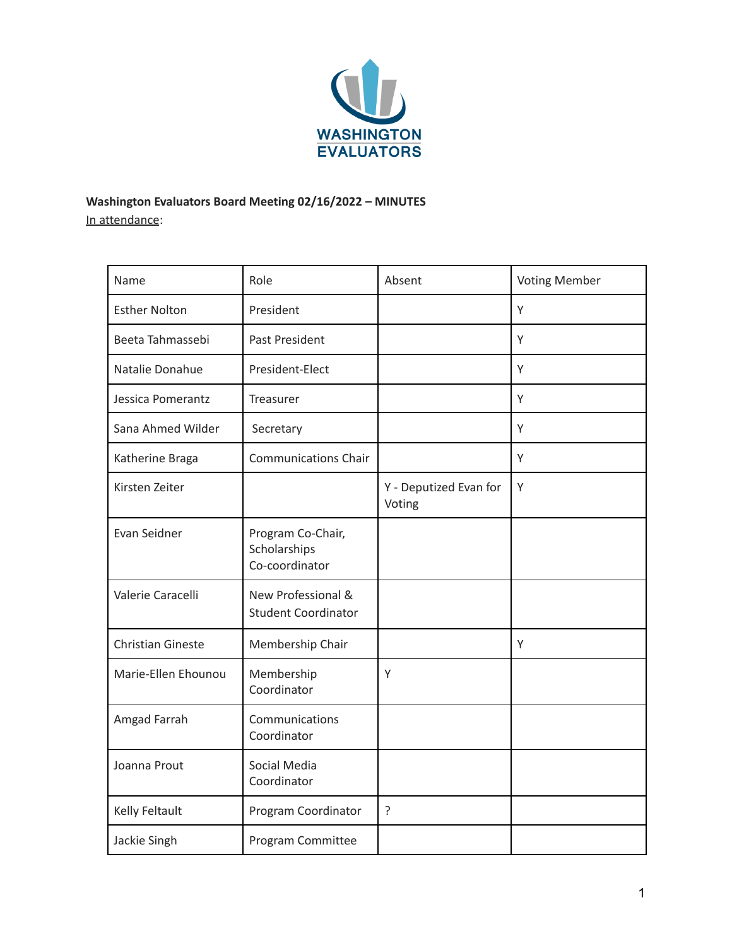

**Washington Evaluators Board Meeting 02/16/2022 – MINUTES** In attendance:

| Name                     | Role                                                | Absent                           | <b>Voting Member</b> |
|--------------------------|-----------------------------------------------------|----------------------------------|----------------------|
| <b>Esther Nolton</b>     | President                                           |                                  | Y                    |
| Beeta Tahmassebi         | Past President                                      |                                  | Y                    |
| Natalie Donahue          | President-Elect                                     |                                  | Υ                    |
| Jessica Pomerantz        | Treasurer                                           |                                  | Y                    |
| Sana Ahmed Wilder        | Secretary                                           |                                  | Y                    |
| Katherine Braga          | <b>Communications Chair</b>                         |                                  | Υ                    |
| Kirsten Zeiter           |                                                     | Y - Deputized Evan for<br>Voting | Υ                    |
| Evan Seidner             | Program Co-Chair,<br>Scholarships<br>Co-coordinator |                                  |                      |
| Valerie Caracelli        | New Professional &<br><b>Student Coordinator</b>    |                                  |                      |
| <b>Christian Gineste</b> | Membership Chair                                    |                                  | Υ                    |
| Marie-Ellen Ehounou      | Membership<br>Coordinator                           | Υ                                |                      |
| Amgad Farrah             | Communications<br>Coordinator                       |                                  |                      |
| Joanna Prout             | Social Media<br>Coordinator                         |                                  |                      |
| Kelly Feltault           | Program Coordinator                                 | ?                                |                      |
| Jackie Singh             | Program Committee                                   |                                  |                      |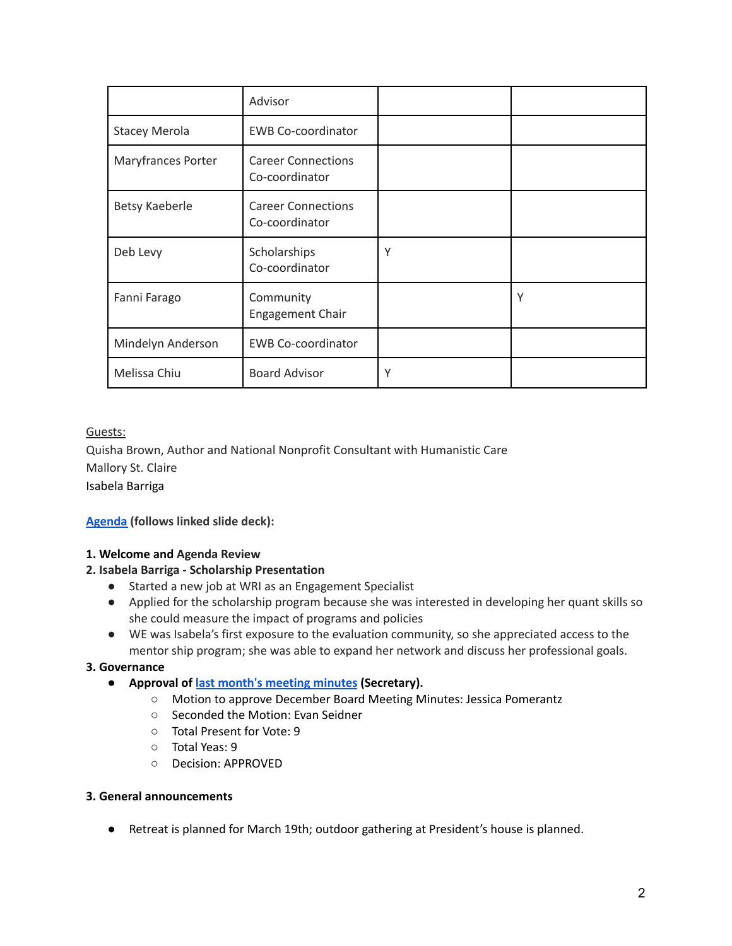|                      | Advisor                                     |   |   |
|----------------------|---------------------------------------------|---|---|
| <b>Stacey Merola</b> | <b>EWB Co-coordinator</b>                   |   |   |
| Maryfrances Porter   | <b>Career Connections</b><br>Co-coordinator |   |   |
| Betsy Kaeberle       | <b>Career Connections</b><br>Co-coordinator |   |   |
| Deb Levy             | Scholarships<br>Co-coordinator              | Υ |   |
| Fanni Farago         | Community<br><b>Engagement Chair</b>        |   | Υ |
| Mindelyn Anderson    | <b>EWB Co-coordinator</b>                   |   |   |
| Melissa Chiu         | <b>Board Advisor</b>                        | Υ |   |

# Guests:

Quisha Brown, Author and National Nonprofit Consultant with Humanistic Care Mallory St. Claire Isabela Barriga

**[Agenda](https://docs.google.com/presentation/d/1PaMLiexwoR13ci_mRq3aNjboxYBDx5NAcYwJzOjCCBo/edit) (follows linked slide deck):**

# **1. Welcome and Agenda Review**

# **2. Isabela Barriga - Scholarship Presentation**

- Started a new job at WRI as an Engagement Specialist
- Applied for the scholarship program because she was interested in developing her quant skills so she could measure the impact of programs and policies
- WE was Isabela's first exposure to the evaluation community, so she appreciated access to the mentor ship program; she was able to expand her network and discuss her professional goals.

# **3. Governance**

- **Approval of last month's [meeting](https://washingtonevaluators.org/resources/Documents/BoardMinutes/2021/WE_Board_Meeting_20211117.pdf) minutes (Secretary).**
	- Motion to approve December Board Meeting Minutes: Jessica Pomerantz
	- Seconded the Motion: Evan Seidner
	- Total Present for Vote: 9
	- Total Yeas: 9
	- Decision: APPROVED

#### **3. General announcements**

● Retreat is planned for March 19th; outdoor gathering at President's house is planned.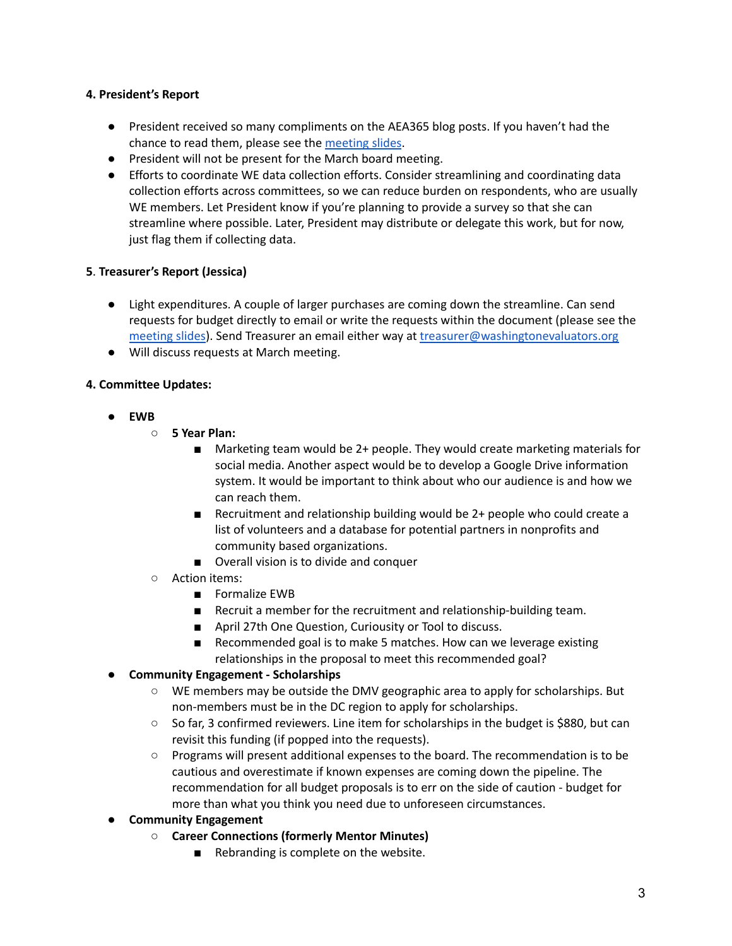## **4. President's Report**

- President received so many compliments on the AEA365 blog posts. If you haven't had the chance to read them, please see the [meeting](https://docs.google.com/presentation/d/1PaMLiexwoR13ci_mRq3aNjboxYBDx5NAcYwJzOjCCBo/edit) slides.
- President will not be present for the March board meeting.
- Efforts to coordinate WE data collection efforts. Consider streamlining and coordinating data collection efforts across committees, so we can reduce burden on respondents, who are usually WE members. Let President know if you're planning to provide a survey so that she can streamline where possible. Later, President may distribute or delegate this work, but for now, just flag them if collecting data.

## **5**. **Treasurer's Report (Jessica)**

- Light expenditures. A couple of larger purchases are coming down the streamline. Can send requests for budget directly to email or write the requests within the document (please see the [meeting](https://docs.google.com/presentation/d/1PaMLiexwoR13ci_mRq3aNjboxYBDx5NAcYwJzOjCCBo/edit) slides). Send Treasurer an email either way at [treasurer@washingtonevaluators.org](mailto:treasurer@washingtonevaluators.org)
- Will discuss requests at March meeting.

## **4. Committee Updates:**

- **● EWB**
	- **5 Year Plan:**
		- Marketing team would be 2+ people. They would create marketing materials for social media. Another aspect would be to develop a Google Drive information system. It would be important to think about who our audience is and how we can reach them.
		- Recruitment and relationship building would be 2+ people who could create a list of volunteers and a database for potential partners in nonprofits and community based organizations.
		- Overall vision is to divide and conquer
	- Action items:
		- Formalize EWB
		- Recruit a member for the recruitment and relationship-building team.
		- April 27th One Question, Curiousity or Tool to discuss.
		- Recommended goal is to make 5 matches. How can we leverage existing relationships in the proposal to meet this recommended goal?

# **● Community Engagement - Scholarships**

- WE members may be outside the DMV geographic area to apply for scholarships. But non-members must be in the DC region to apply for scholarships.
- So far, 3 confirmed reviewers. Line item for scholarships in the budget is \$880, but can revisit this funding (if popped into the requests).
- Programs will present additional expenses to the board. The recommendation is to be cautious and overestimate if known expenses are coming down the pipeline. The recommendation for all budget proposals is to err on the side of caution - budget for more than what you think you need due to unforeseen circumstances.
- **● Community Engagement**
	- **○ Career Connections (formerly Mentor Minutes)**
		- Rebranding is complete on the website.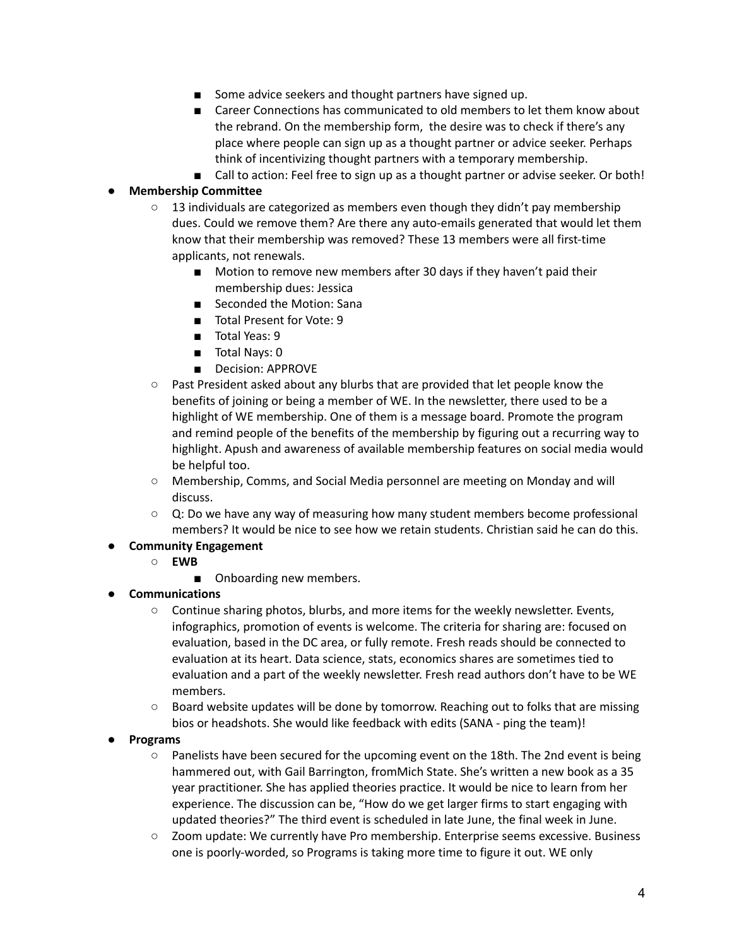- Some advice seekers and thought partners have signed up.
- Career Connections has communicated to old members to let them know about the rebrand. On the membership form, the desire was to check if there's any place where people can sign up as a thought partner or advice seeker. Perhaps think of incentivizing thought partners with a temporary membership.
- Call to action: Feel free to sign up as a thought partner or advise seeker. Or both!

## ● **Membership Committee**

- $\circ$  13 individuals are categorized as members even though they didn't pay membership dues. Could we remove them? Are there any auto-emails generated that would let them know that their membership was removed? These 13 members were all first-time applicants, not renewals.
	- Motion to remove new members after 30 days if they haven't paid their membership dues: Jessica
	- Seconded the Motion: Sana
	- Total Present for Vote: 9
	- Total Yeas: 9
	- Total Nays: 0
	- Decision: APPROVE
- Past President asked about any blurbs that are provided that let people know the benefits of joining or being a member of WE. In the newsletter, there used to be a highlight of WE membership. One of them is a message board. Promote the program and remind people of the benefits of the membership by figuring out a recurring way to highlight. Apush and awareness of available membership features on social media would be helpful too.
- Membership, Comms, and Social Media personnel are meeting on Monday and will discuss.
- $\circ$  Q: Do we have any way of measuring how many student members become professional members? It would be nice to see how we retain students. Christian said he can do this.
- **● Community Engagement**
	- **○ EWB**
		- Onboarding new members.
- **● Communications**
	- **○** Continue sharing photos, blurbs, and more items for the weekly newsletter. Events, infographics, promotion of events is welcome. The criteria for sharing are: focused on evaluation, based in the DC area, or fully remote. Fresh reads should be connected to evaluation at its heart. Data science, stats, economics shares are sometimes tied to evaluation and a part of the weekly newsletter. Fresh read authors don't have to be WE members.
	- **○** Board website updates will be done by tomorrow. Reaching out to folks that are missing bios or headshots. She would like feedback with edits (SANA - ping the team)!

#### **● Programs**

- **○** Panelists have been secured for the upcoming event on the 18th. The 2nd event is being hammered out, with Gail Barrington, fromMich State. She's written a new book as a 35 year practitioner. She has applied theories practice. It would be nice to learn from her experience. The discussion can be, "How do we get larger firms to start engaging with updated theories?" The third event is scheduled in late June, the final week in June.
- **○** Zoom update: We currently have Pro membership. Enterprise seems excessive. Business one is poorly-worded, so Programs is taking more time to figure it out. WE only